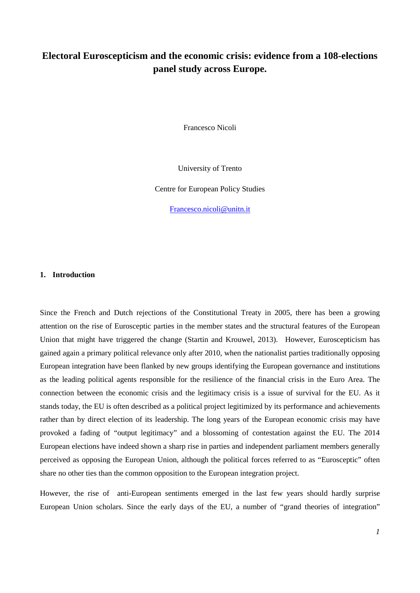# **Electoral Euroscepticism and the economic crisis: evidence from a 108-elections panel study across Europe.**

Francesco Nicoli

University of Trento

Centre for European Policy Studies

[Francesco.nicoli@unitn.it](mailto:Francesco.nicoli@unitn.it)

## **1. Introduction**

Since the French and Dutch rejections of the Constitutional Treaty in 2005, there has been a growing attention on the rise of Eurosceptic parties in the member states and the structural features of the European Union that might have triggered the change (Startin and Krouwel, 2013). However, Euroscepticism has gained again a primary political relevance only after 2010, when the nationalist parties traditionally opposing European integration have been flanked by new groups identifying the European governance and institutions as the leading political agents responsible for the resilience of the financial crisis in the Euro Area. The connection between the economic crisis and the legitimacy crisis is a issue of survival for the EU. As it stands today, the EU is often described as a political project legitimized by its performance and achievements rather than by direct election of its leadership. The long years of the European economic crisis may have provoked a fading of "output legitimacy" and a blossoming of contestation against the EU. The 2014 European elections have indeed shown a sharp rise in parties and independent parliament members generally perceived as opposing the European Union, although the political forces referred to as "Eurosceptic" often share no other ties than the common opposition to the European integration project.

However, the rise of anti-European sentiments emerged in the last few years should hardly surprise European Union scholars. Since the early days of the EU, a number of "grand theories of integration"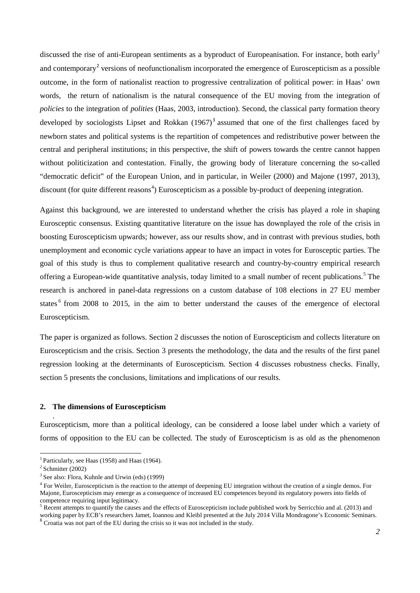discussed the rise of anti-European sentiments as a byproduct of Europeanisation. For instance, both early*[1](#page-1-0)* and contemporary<sup>[2](#page-1-1)</sup> versions of neofunctionalism incorporated the emergence of Euroscepticism as a possible outcome, in the form of nationalist reaction to progressive centralization of political power: in Haas' own words, the return of nationalism is the natural consequence of the EU moving from the integration of *policies* to the integration of *polities* (Haas, 2003, introduction). Second, the classical party formation theory developed by sociologists Lipset and Rokkan  $(1967)^3$  $(1967)^3$  assumed that one of the first challenges faced by newborn states and political systems is the repartition of competences and redistributive power between the central and peripheral institutions; in this perspective, the shift of powers towards the centre cannot happen without politicization and contestation. Finally, the growing body of literature concerning the so-called "democratic deficit" of the European Union, and in particular, in Weiler (2000) and Majone (1997, 2013), discount (for quite different reasons<sup>[4](#page-1-3)</sup>) Euroscepticism as a possible by-product of deepening integration.

Against this background, we are interested to understand whether the crisis has played a role in shaping Eurosceptic consensus. Existing quantitative literature on the issue has downplayed the role of the crisis in boosting Euroscepticism upwards; however, ass our results show, and in contrast with previous studies, both unemployment and economic cycle variations appear to have an impact in votes for Eurosceptic parties. The goal of this study is thus to complement qualitative research and country-by-country empirical research offering a European-wide quantitative analysis, today limited to a small number of recent publications. [5](#page-1-4) The research is anchored in panel-data regressions on a custom database of 108 elections in 27 EU member states <sup>[6](#page-1-5)</sup> from 2008 to 2015, in the aim to better understand the causes of the emergence of electoral Euroscepticism.

The paper is organized as follows. Section 2 discusses the notion of Euroscepticism and collects literature on Euroscepticism and the crisis. Section 3 presents the methodology, the data and the results of the first panel regression looking at the determinants of Euroscepticism. Section 4 discusses robustness checks. Finally, section 5 presents the conclusions, limitations and implications of our results.

## **2. The dimensions of Euroscepticism**

Euroscepticism, more than a political ideology, can be considered a loose label under which a variety of forms of opposition to the EU can be collected. The study of Euroscepticism is as old as the phenomenon

.

**<sup>.</sup>** <sup>1</sup> Particularly, see Haas (1958) and Haas (1964).

<span id="page-1-1"></span><span id="page-1-0"></span>*<sup>2</sup>* Schmitter (2002)

<span id="page-1-2"></span>*<sup>3</sup>* See also: Flora, Kuhnle and Urwin (eds) (1999)

<span id="page-1-3"></span><sup>&</sup>lt;sup>4</sup> For Weiler, Euroscepticism is the reaction to the attempt of deepening EU integration without the creation of a single demos. For Majone, Euroscepticism may emerge as a consequence of increased EU competences beyond its regulatory powers into fields of competence requiring input legitimacy.<br><sup>5</sup> Recent attempts to quantify the causes and the effects of Euroscepticism include published work by Serricchio and al. (2013) and

<span id="page-1-4"></span>working paper by ECB's researchers Jamet, Ioannou and Kleibl presented at the July 2014 Villa Mondragone's Economic Seminars. <sup>6</sup> Croatia was not part of the EU during the crisis so it was not included in the study.

<span id="page-1-5"></span>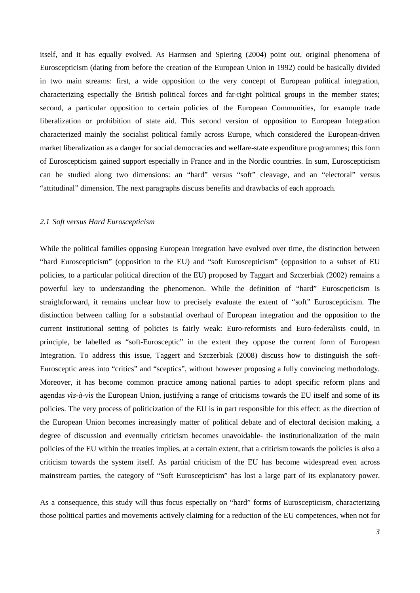itself, and it has equally evolved. As Harmsen and Spiering (2004) point out, original phenomena of Euroscepticism (dating from before the creation of the European Union in 1992) could be basically divided in two main streams: first, a wide opposition to the very concept of European political integration, characterizing especially the British political forces and far-right political groups in the member states; second, a particular opposition to certain policies of the European Communities, for example trade liberalization or prohibition of state aid. This second version of opposition to European Integration characterized mainly the socialist political family across Europe, which considered the European-driven market liberalization as a danger for social democracies and welfare-state expenditure programmes; this form of Euroscepticism gained support especially in France and in the Nordic countries. In sum, Euroscepticism can be studied along two dimensions: an "hard" versus "soft" cleavage, and an "electoral" versus "attitudinal" dimension. The next paragraphs discuss benefits and drawbacks of each approach.

# *2.1 Soft versus Hard Euroscepticism*

While the political families opposing European integration have evolved over time, the distinction between "hard Euroscepticism" (opposition to the EU) and "soft Euroscepticism" (opposition to a subset of EU policies, to a particular political direction of the EU) proposed by Taggart and Szczerbiak (2002) remains a powerful key to understanding the phenomenon. While the definition of "hard" Euroscpeticism is straightforward, it remains unclear how to precisely evaluate the extent of "soft" Euroscepticism. The distinction between calling for a substantial overhaul of European integration and the opposition to the current institutional setting of policies is fairly weak: Euro-reformists and Euro-federalists could, in principle, be labelled as "soft-Eurosceptic" in the extent they oppose the current form of European Integration. To address this issue, Taggert and Szczerbiak (2008) discuss how to distinguish the soft-Eurosceptic areas into "critics" and "sceptics", without however proposing a fully convincing methodology. Moreover, it has become common practice among national parties to adopt specific reform plans and agendas *vìs-à-vìs* the European Union, justifying a range of criticisms towards the EU itself and some of its policies. The very process of politicization of the EU is in part responsible for this effect: as the direction of the European Union becomes increasingly matter of political debate and of electoral decision making, a degree of discussion and eventually criticism becomes unavoidable- the institutionalization of the main policies of the EU within the treaties implies, at a certain extent, that a criticism towards the policies is *also* a criticism towards the system itself. As partial criticism of the EU has become widespread even across mainstream parties, the category of "Soft Euroscepticism" has lost a large part of its explanatory power.

As a consequence, this study will thus focus especially on "hard" forms of Euroscepticism, characterizing those political parties and movements actively claiming for a reduction of the EU competences, when not for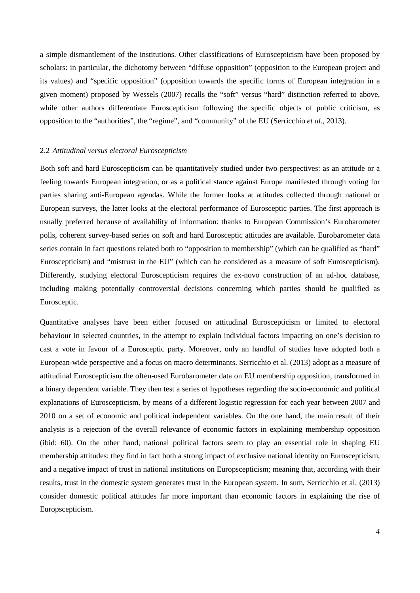a simple dismantlement of the institutions. Other classifications of Euroscepticism have been proposed by scholars: in particular, the dichotomy between "diffuse opposition" (opposition to the European project and its values) and "specific opposition" (opposition towards the specific forms of European integration in a given moment) proposed by Wessels (2007) recalls the "soft" versus "hard" distinction referred to above, while other authors differentiate Euroscepticism following the specific objects of public criticism, as opposition to the "authorities", the "regime", and "community" of the EU (Serricchio *et al.*, 2013).

## 2.2 *Attitudinal versus electoral Euroscepticism*

Both soft and hard Euroscepticism can be quantitatively studied under two perspectives: as an attitude or a feeling towards European integration, or as a political stance against Europe manifested through voting for parties sharing anti-European agendas. While the former looks at attitudes collected through national or European surveys, the latter looks at the electoral performance of Eurosceptic parties. The first approach is usually preferred because of availability of information: thanks to European Commission's Eurobarometer polls, coherent survey-based series on soft and hard Eurosceptic attitudes are available. Eurobarometer data series contain in fact questions related both to "opposition to membership" (which can be qualified as "hard" Euroscepticism) and "mistrust in the EU" (which can be considered as a measure of soft Euroscepticism). Differently, studying electoral Euroscepticism requires the ex-novo construction of an ad-hoc database, including making potentially controversial decisions concerning which parties should be qualified as Eurosceptic.

Quantitative analyses have been either focused on attitudinal Euroscepticism or limited to electoral behaviour in selected countries, in the attempt to explain individual factors impacting on one's decision to cast a vote in favour of a Eurosceptic party. Moreover, only an handful of studies have adopted both a European-wide perspective and a focus on macro determinants. Serricchio et al. (2013) adopt as a measure of attitudinal Euroscepticism the often-used Eurobarometer data on EU membership opposition, transformed in a binary dependent variable. They then test a series of hypotheses regarding the socio-economic and political explanations of Euroscepticism, by means of a different logistic regression for each year between 2007 and 2010 on a set of economic and political independent variables. On the one hand, the main result of their analysis is a rejection of the overall relevance of economic factors in explaining membership opposition (ibid: 60). On the other hand, national political factors seem to play an essential role in shaping EU membership attitudes: they find in fact both a strong impact of exclusive national identity on Euroscepticism, and a negative impact of trust in national institutions on Europscepticism; meaning that, according with their results, trust in the domestic system generates trust in the European system. In sum, Serricchio et al. (2013) consider domestic political attitudes far more important than economic factors in explaining the rise of Europscepticism.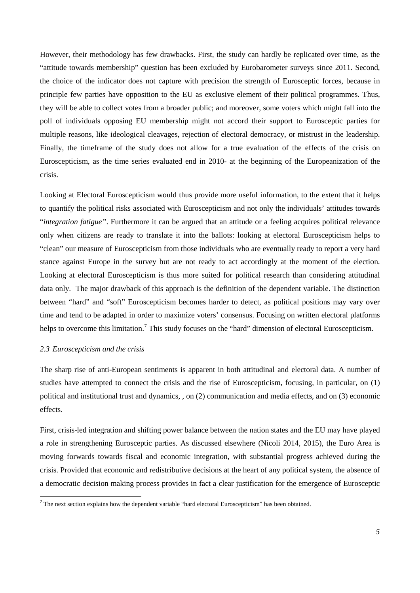However, their methodology has few drawbacks. First, the study can hardly be replicated over time, as the "attitude towards membership" question has been excluded by Eurobarometer surveys since 2011. Second, the choice of the indicator does not capture with precision the strength of Eurosceptic forces, because in principle few parties have opposition to the EU as exclusive element of their political programmes. Thus, they will be able to collect votes from a broader public; and moreover, some voters which might fall into the poll of individuals opposing EU membership might not accord their support to Eurosceptic parties for multiple reasons, like ideological cleavages, rejection of electoral democracy, or mistrust in the leadership. Finally, the timeframe of the study does not allow for a true evaluation of the effects of the crisis on Euroscepticism, as the time series evaluated end in 2010- at the beginning of the Europeanization of the crisis.

Looking at Electoral Euroscepticism would thus provide more useful information, to the extent that it helps to quantify the political risks associated with Euroscepticism and not only the individuals' attitudes towards "*integration fatigue"*. Furthermore it can be argued that an attitude or a feeling acquires political relevance only when citizens are ready to translate it into the ballots: looking at electoral Euroscepticism helps to "clean" our measure of Euroscepticism from those individuals who are eventually ready to report a very hard stance against Europe in the survey but are not ready to act accordingly at the moment of the election. Looking at electoral Euroscepticism is thus more suited for political research than considering attitudinal data only. The major drawback of this approach is the definition of the dependent variable. The distinction between "hard" and "soft" Euroscepticism becomes harder to detect, as political positions may vary over time and tend to be adapted in order to maximize voters' consensus. Focusing on written electoral platforms helps to overcome this limitation.<sup>[7](#page-4-0)</sup> This study focuses on the "hard" dimension of electoral Euroscepticism.

#### *2.3 Euroscepticism and the crisis*

The sharp rise of anti-European sentiments is apparent in both attitudinal and electoral data. A number of studies have attempted to connect the crisis and the rise of Euroscepticism, focusing, in particular, on (1) political and institutional trust and dynamics, , on (2) communication and media effects, and on (3) economic effects.

First, crisis-led integration and shifting power balance between the nation states and the EU may have played a role in strengthening Eurosceptic parties. As discussed elsewhere (Nicoli 2014, 2015), the Euro Area is moving forwards towards fiscal and economic integration, with substantial progress achieved during the crisis. Provided that economic and redistributive decisions at the heart of any political system, the absence of a democratic decision making process provides in fact a clear justification for the emergence of Eurosceptic

<span id="page-4-0"></span><sup>&</sup>lt;sup>7</sup> The next section explains how the dependent variable "hard electoral Euroscepticism" has been obtained.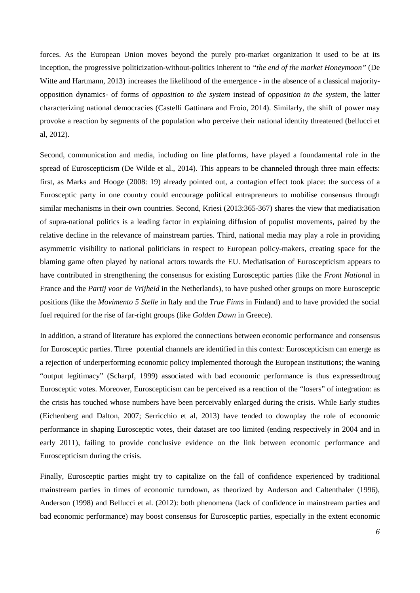forces. As the European Union moves beyond the purely pro-market organization it used to be at its inception, the progressive politicization-without-politics inherent to *"the end of the market Honeymoon"* (De Witte and Hartmann, 2013) increases the likelihood of the emergence - in the absence of a classical majorityopposition dynamics- of forms of *opposition to the system* instead of *opposition in the system,* the latter characterizing national democracies (Castelli Gattinara and Froio, 2014). Similarly, the shift of power may provoke a reaction by segments of the population who perceive their national identity threatened (bellucci et al, 2012).

Second, communication and media, including on line platforms, have played a foundamental role in the spread of Euroscepticism (De Wilde et al., 2014). This appears to be channeled through three main effects: first, as Marks and Hooge (2008: 19) already pointed out, a contagion effect took place: the success of a Eurosceptic party in one country could encourage political entrapreneurs to mobilise consensus through similar mechanisms in their own countries. Second, Kriesi (2013:365-367) shares the view that mediatisation of supra-national politics is a leading factor in explaining diffusion of populist movements, paired by the relative decline in the relevance of mainstream parties. Third, national media may play a role in providing asymmetric visibility to national politicians in respect to European policy-makers, creating space for the blaming game often played by national actors towards the EU. Mediatisation of Euroscepticism appears to have contributed in strengthening the consensus for existing Eurosceptic parties (like the *Front Nationa*l in France and the *Partij voor de Vrijheid* in the Netherlands), to have pushed other groups on more Eurosceptic positions (like the *Movimento 5 Stelle* in Italy and the *True Finns* in Finland) and to have provided the social fuel required for the rise of far-right groups (like *Golden Dawn* in Greece).

In addition, a strand of literature has explored the connections between economic performance and consensus for Eurosceptic parties. Three potential channels are identified in this context: Euroscepticism can emerge as a rejection of underperforming economic policy implemented thorough the European institutions; the waning "output legitimacy" (Scharpf, 1999) associated with bad economic performance is thus expressedtroug Eurosceptic votes. Moreover, Euroscepticism can be perceived as a reaction of the "losers" of integration: as the crisis has touched whose numbers have been perceivably enlarged during the crisis. While Early studies (Eichenberg and Dalton, 2007; Serricchio et al, 2013) have tended to downplay the role of economic performance in shaping Eurosceptic votes, their dataset are too limited (ending respectively in 2004 and in early 2011), failing to provide conclusive evidence on the link between economic performance and Euroscepticism during the crisis.

Finally, Eurosceptic parties might try to capitalize on the fall of confidence experienced by traditional mainstream parties in times of economic turndown, as theorized by Anderson and Caltenthaler (1996), Anderson (1998) and Bellucci et al. (2012): both phenomena (lack of confidence in mainstream parties and bad economic performance) may boost consensus for Eurosceptic parties, especially in the extent economic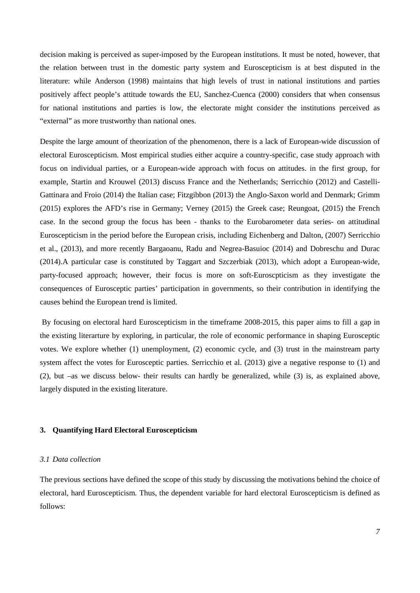decision making is perceived as super-imposed by the European institutions. It must be noted, however, that the relation between trust in the domestic party system and Euroscepticism is at best disputed in the literature: while Anderson (1998) maintains that high levels of trust in national institutions and parties positively affect people's attitude towards the EU, Sanchez-Cuenca (2000) considers that when consensus for national institutions and parties is low, the electorate might consider the institutions perceived as "external" as more trustworthy than national ones.

Despite the large amount of theorization of the phenomenon, there is a lack of European-wide discussion of electoral Euroscepticism. Most empirical studies either acquire a country-specific, case study approach with focus on individual parties, or a European-wide approach with focus on attitudes. in the first group, for example, Startin and Krouwel (2013) discuss France and the Netherlands; Serricchio (2012) and Castelli-Gattinara and Froio (2014) the Italian case; Fitzgibbon (2013) the Anglo-Saxon world and Denmark; Grimm (2015) explores the AFD's rise in Germany; Verney (2015) the Greek case; Reungoat, (2015) the French case. In the second group the focus has been - thanks to the Eurobarometer data series- on attitudinal Euroscepticism in the period before the European crisis, including Eichenberg and Dalton, (2007) Serricchio et al., (2013), and more recently Bargaoanu, Radu and Negrea-Basuioc (2014) and Dobreschu and Durac (2014).A particular case is constituted by Taggart and Szczerbiak (2013), which adopt a European-wide, party-focused approach; however, their focus is more on soft-Euroscpticism as they investigate the consequences of Eurosceptic parties' participation in governments, so their contribution in identifying the causes behind the European trend is limited.

By focusing on electoral hard Euroscepticism in the timeframe 2008-2015, this paper aims to fill a gap in the existing literarture by exploring, in particular, the role of economic performance in shaping Eurosceptic votes. We explore whether (1) unemployment, (2) economic cycle, and (3) trust in the mainstream party system affect the votes for Eurosceptic parties. Serricchio et al. (2013) give a negative response to (1) and (2), but –as we discuss below- their results can hardly be generalized, while (3) is, as explained above, largely disputed in the existing literature.

# **3. Quantifying Hard Electoral Euroscepticism**

#### *3.1 Data collection*

The previous sections have defined the scope of this study by discussing the motivations behind the choice of electoral, hard Euroscepticism. Thus, the dependent variable for hard electoral Euroscepticism is defined as follows: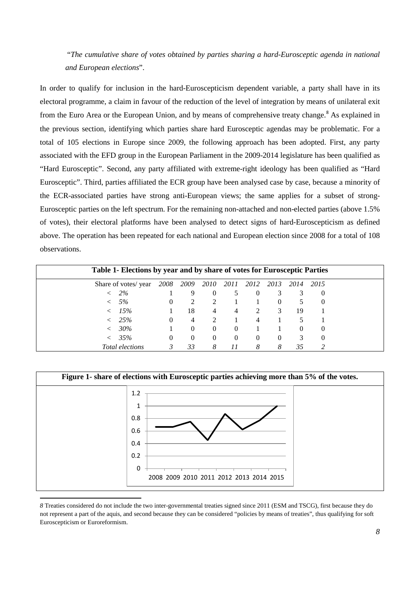"*The cumulative share of votes obtained by parties sharing a hard-Eurosceptic agenda in national and European elections*".

In order to qualify for inclusion in the hard-Euroscepticism dependent variable, a party shall have in its electoral programme, a claim in favour of the reduction of the level of integration by means of unilateral exit from the Euro Area or the European Union, and by means of comprehensive treaty change.<sup>[8](#page-7-0)</sup> As explained in the previous section, identifying which parties share hard Eurosceptic agendas may be problematic. For a total of 105 elections in Europe since 2009, the following approach has been adopted. First, any party associated with the EFD group in the European Parliament in the 2009-2014 legislature has been qualified as "Hard Eurosceptic". Second, any party affiliated with extreme-right ideology has been qualified as "Hard Eurosceptic". Third, parties affiliated the ECR group have been analysed case by case, because a minority of the ECR-associated parties have strong anti-European views; the same applies for a subset of strong-Eurosceptic parties on the left spectrum. For the remaining non-attached and non-elected parties (above 1.5% of votes), their electoral platforms have been analysed to detect signs of hard-Euroscepticism as defined above. The operation has been repeated for each national and European election since 2008 for a total of 108 observations.

| Table 1- Elections by year and by share of votes for Eurosceptic Parties |          |          |                             |          |           |          |          |      |  |
|--------------------------------------------------------------------------|----------|----------|-----------------------------|----------|-----------|----------|----------|------|--|
| Share of votes/ year                                                     | 2008     | 2009     | 2010                        | 2011     | 2012 2013 |          | 2014     | 2015 |  |
| 2%                                                                       |          | 9        | $\Omega$                    |          | $\theta$  |          |          | O    |  |
| 5%                                                                       | $\theta$ | 2        | $\mathcal{D}_{\mathcal{L}}$ |          |           |          |          |      |  |
| 15%                                                                      |          | 18       | 4                           | 4        |           | 3        | 19       |      |  |
| 25%                                                                      | $\theta$ | 4        | $\mathfrak{D}$              |          | 4         |          |          |      |  |
| 30%                                                                      |          | $\theta$ | $\Omega$                    | $\theta$ |           |          | $\theta$ |      |  |
| 35%                                                                      | $\theta$ | $\Omega$ | $\Omega$                    | $\theta$ | $\Omega$  | $\theta$ |          |      |  |
| Total elections                                                          | 3        | 33       | 8                           |          | 8         | 8        | 35       |      |  |



<span id="page-7-0"></span>*<sup>8</sup>* Treaties considered do not include the two inter-governmental treaties signed since 2011 (ESM and TSCG), first because they do not represent a part of the aquis, and second because they can be considered "policies by means of treaties", thus qualifying for soft Euroscepticism or Euroreformism.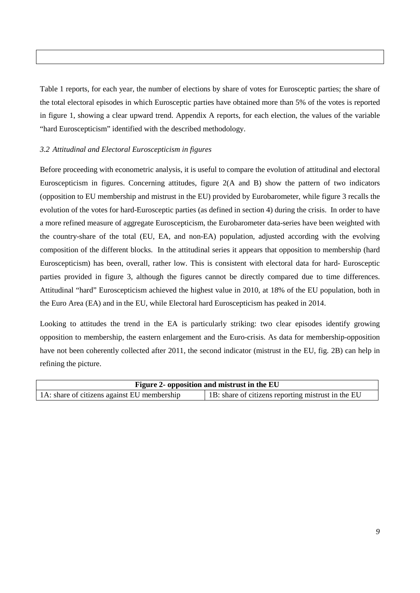Table 1 reports, for each year, the number of elections by share of votes for Eurosceptic parties; the share of the total electoral episodes in which Eurosceptic parties have obtained more than 5% of the votes is reported in figure 1, showing a clear upward trend. Appendix A reports, for each election, the values of the variable "hard Euroscepticism" identified with the described methodology.

# *3.2 Attitudinal and Electoral Euroscepticism in figures*

Before proceeding with econometric analysis, it is useful to compare the evolution of attitudinal and electoral Euroscepticism in figures. Concerning attitudes, figure 2(A and B) show the pattern of two indicators (opposition to EU membership and mistrust in the EU) provided by Eurobarometer, while figure 3 recalls the evolution of the votes for hard-Eurosceptic parties (as defined in section 4) during the crisis. In order to have a more refined measure of aggregate Euroscepticism, the Eurobarometer data-series have been weighted with the country-share of the total (EU, EA, and non-EA) population, adjusted according with the evolving composition of the different blocks. In the attitudinal series it appears that opposition to membership (hard Euroscepticism) has been, overall, rather low. This is consistent with electoral data for hard- Eurosceptic parties provided in figure 3, although the figures cannot be directly compared due to time differences. Attitudinal "hard" Euroscepticism achieved the highest value in 2010, at 18% of the EU population, both in the Euro Area (EA) and in the EU, while Electoral hard Euroscepticism has peaked in 2014.

Looking to attitudes the trend in the EA is particularly striking: two clear episodes identify growing opposition to membership, the eastern enlargement and the Euro-crisis. As data for membership-opposition have not been coherently collected after 2011, the second indicator (mistrust in the EU, fig. 2B) can help in refining the picture.

|                                             | <b>Figure 2- opposition and mistrust in the EU</b> |
|---------------------------------------------|----------------------------------------------------|
| 1A: share of citizens against EU membership | 1B: share of citizens reporting mistrust in the EU |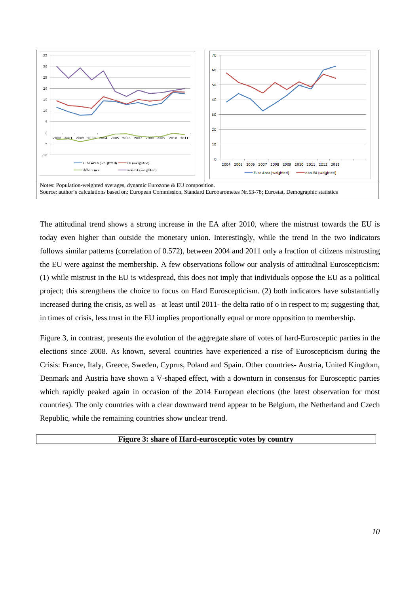

The attitudinal trend shows a strong increase in the EA after 2010, where the mistrust towards the EU is today even higher than outside the monetary union. Interestingly, while the trend in the two indicators follows similar patterns (correlation of 0.572), between 2004 and 2011 only a fraction of citizens mistrusting the EU were against the membership. A few observations follow our analysis of attitudinal Euroscepticism: (1) while mistrust in the EU is widespread, this does not imply that individuals oppose the EU as a political project; this strengthens the choice to focus on Hard Euroscepticism. (2) both indicators have substantially increased during the crisis, as well as –at least until 2011- the delta ratio of o in respect to m; suggesting that, in times of crisis, less trust in the EU implies proportionally equal or more opposition to membership.

Figure 3, in contrast, presents the evolution of the aggregate share of votes of hard-Eurosceptic parties in the elections since 2008. As known, several countries have experienced a rise of Euroscepticism during the Crisis: France, Italy, Greece, Sweden, Cyprus, Poland and Spain. Other countries- Austria, United Kingdom, Denmark and Austria have shown a V-shaped effect, with a downturn in consensus for Eurosceptic parties which rapidly peaked again in occasion of the 2014 European elections (the latest observation for most countries). The only countries with a clear downward trend appear to be Belgium, the Netherland and Czech Republic, while the remaining countries show unclear trend.

**Figure 3: share of Hard-eurosceptic votes by country**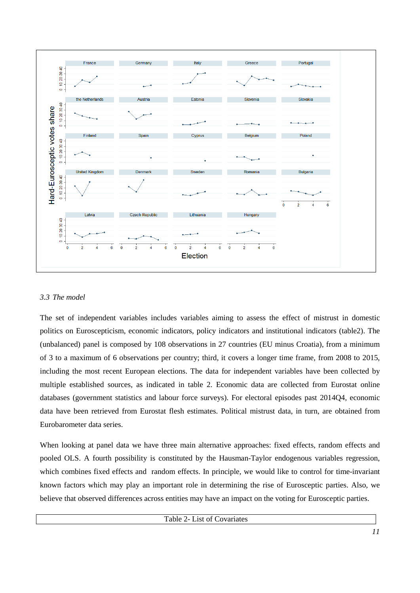

# *3.3 The model*

The set of independent variables includes variables aiming to assess the effect of mistrust in domestic politics on Euroscepticism, economic indicators, policy indicators and institutional indicators (table2). The (unbalanced) panel is composed by 108 observations in 27 countries (EU minus Croatia), from a minimum of 3 to a maximum of 6 observations per country; third, it covers a longer time frame, from 2008 to 2015, including the most recent European elections. The data for independent variables have been collected by multiple established sources, as indicated in table 2. Economic data are collected from Eurostat online databases (government statistics and labour force surveys). For electoral episodes past 2014Q4, economic data have been retrieved from Eurostat flesh estimates. Political mistrust data, in turn, are obtained from Eurobarometer data series.

When looking at panel data we have three main alternative approaches: fixed effects, random effects and pooled OLS. A fourth possibility is constituted by the Hausman-Taylor endogenous variables regression, which combines fixed effects and random effects. In principle, we would like to control for time-invariant known factors which may play an important role in determining the rise of Eurosceptic parties. Also, we believe that observed differences across entities may have an impact on the voting for Eurosceptic parties.

Table 2- List of Covariates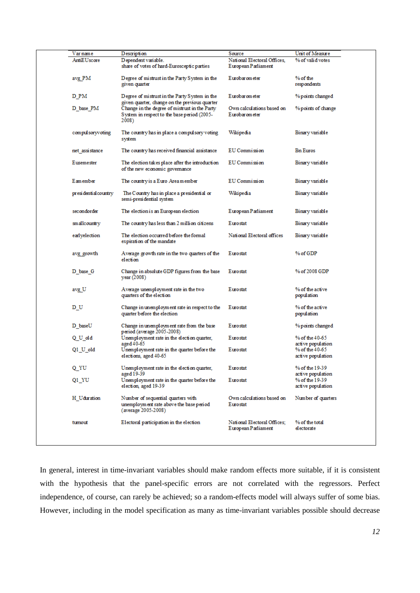| Varname              | D escripti on                                                                                                                                          | Source                                             | Unit of Measure                     |
|----------------------|--------------------------------------------------------------------------------------------------------------------------------------------------------|----------------------------------------------------|-------------------------------------|
| AntiEUscore          | Dependent variable.<br>share of votes of hard-Eurosceptic parties                                                                                      | National Electoral Offices.<br>European Parliament | % of valid votes                    |
| avg PM               | Degree of mistrust in the Party System in the<br>given quarter                                                                                         | Eurobarometer                                      | % of the<br>respondents             |
| D PM                 | Degree of mistrust in the Party System in the                                                                                                          | Eurobarometer                                      | % points changed                    |
| D base PM            | given quarter, change on the previous quarter<br>Change in the degree of mistrust in the Party<br>System in respect to the base period (2005-<br>2008) | Own calculations based on<br>Eurobarometer         | % points of change                  |
| compulsoryvoting     | The country has in place a compulsory voting<br>system                                                                                                 | Wikipedia                                          | Binary variable                     |
| net assistance       | The country has received financial assistance                                                                                                          | EU Commission                                      | <b>Bn</b> Euros                     |
| Eusemester           | The election takes place after the introduction<br>of the new economic governance                                                                      | EU Commission                                      | Binary variable                     |
| Earnember            | The country is a Euro Area member                                                                                                                      | EU Commission                                      | Binary variable                     |
| presidential country | The Country has in place a presidential or<br>semi-presidential system                                                                                 | Wikipedia                                          | Binary variable                     |
| secondorder          | The election is an European election                                                                                                                   | European Parliament                                | Binary variable                     |
| smallcountry         | The country has less than 2 million citizens                                                                                                           | Eurostat                                           | Binary variable                     |
| earlyelection        | The election occurred before the formal<br>expiration of the mandate                                                                                   | National Electoral offices                         | Binary variable                     |
| avg growth           | Average growth rate in the two quarters of the<br>election                                                                                             | Eurostat                                           | % of GDP                            |
| D base G             | Change in absolute GDP figures from the base<br>year (2008)                                                                                            | Eurostat                                           | % of 2008 GDP                       |
| avg U                | Average unemployment rate in the two<br>quarters of the election                                                                                       | Eurostat                                           | % of the active<br>population       |
| D_U                  | Change in unemployment rate in respect to the<br>quarter before the election                                                                           | Eurostat                                           | % of the active<br>population       |
| D baseU              | Change in unemployment rate from the base<br>period (average 2005-2008)                                                                                | Eurostat                                           | % points changed                    |
| QU_dd                | Unemployment rate in the election quarter,<br>aged 40-65                                                                                               | Eurostat                                           | % of the 40-65<br>active population |
| Q1_U_old             | Unemployment rate in the quarter before the<br>elections, aged 40-65                                                                                   | Eurostat                                           | % of the 40-65<br>active population |
| Q_YU                 | Unemployment rate in the election quarter,<br>aged 19-39                                                                                               | Eurostat                                           | % of the 19-39<br>active population |
| Q1_YU                | Unemployment rate in the quarter before the<br>election, aged 19-39                                                                                    | Eurostat                                           | % of the 19-39<br>active population |
| H Uduration          | Number of sequential quarters with<br>unemployment rate above the base period<br>(average 2005-2008)                                                   | Own calculations based on<br>Eurostat              | Number of quarters                  |
| turnout              | Electoral participation in the election                                                                                                                | National Electoral Offices:<br>European Parliament | % of the total<br>electorate        |
|                      |                                                                                                                                                        |                                                    |                                     |

In general, interest in time-invariant variables should make random effects more suitable, if it is consistent with the hypothesis that the panel-specific errors are not correlated with the regressors. Perfect independence, of course, can rarely be achieved; so a random-effects model will always suffer of some bias. However, including in the model specification as many as time-invariant variables possible should decrease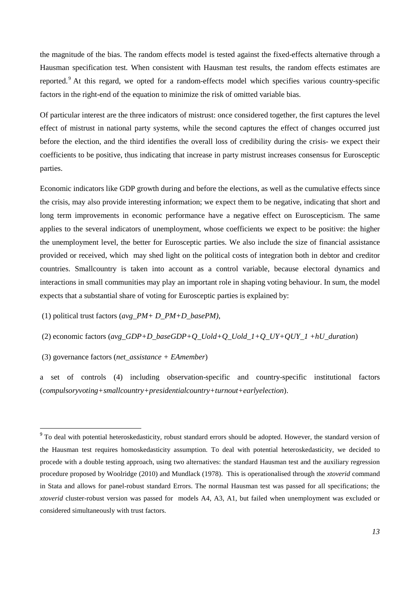the magnitude of the bias. The random effects model is tested against the fixed-effects alternative through a Hausman specification test. When consistent with Hausman test results, the random effects estimates are reported. [9](#page-12-0) At this regard, we opted for a random-effects model which specifies various country-specific factors in the right-end of the equation to minimize the risk of omitted variable bias.

Of particular interest are the three indicators of mistrust: once considered together, the first captures the level effect of mistrust in national party systems, while the second captures the effect of changes occurred just before the election, and the third identifies the overall loss of credibility during the crisis- we expect their coefficients to be positive, thus indicating that increase in party mistrust increases consensus for Eurosceptic parties.

Economic indicators like GDP growth during and before the elections, as well as the cumulative effects since the crisis, may also provide interesting information; we expect them to be negative, indicating that short and long term improvements in economic performance have a negative effect on Euroscepticism. The same applies to the several indicators of unemployment, whose coefficients we expect to be positive: the higher the unemployment level, the better for Eurosceptic parties. We also include the size of financial assistance provided or received, which may shed light on the political costs of integration both in debtor and creditor countries. Smallcountry is taken into account as a control variable, because electoral dynamics and interactions in small communities may play an important role in shaping voting behaviour. In sum, the model expects that a substantial share of voting for Eurosceptic parties is explained by:

(1) political trust factors (*avg\_PM+ D\_PM+D\_basePM)*,

(2) economic factors (*avg\_GDP+D\_baseGDP+Q\_Uold+Q\_Uold\_1+Q\_UY+QUY\_1 +hU\_duration*)

(3) governance factors (*net*\_*assistance + EAmember*)

a set of controls (4) including observation-specific and country-specific institutional factors (*compulsoryvoting+smallcountry+presidentialcountry+turnout+earlyelection*).

<span id="page-12-0"></span><sup>&</sup>lt;sup>9</sup> To deal with potential heteroskedasticity, robust standard errors should be adopted. However, the standard version of the Hausman test requires homoskedasticity assumption. To deal with potential heteroskedasticity, we decided to procede with a double testing approach, using two alternatives: the standard Hausman test and the auxiliary regression procedure proposed by Woolridge (2010) and Mundlack (1978). This is operationalised through the *xtoverid* command in Stata and allows for panel-robust standard Errors. The normal Hausman test was passed for all specifications; the *xtoverid* cluster-robust version was passed for models A4, A3, A1, but failed when unemployment was excluded or considered simultaneously with trust factors.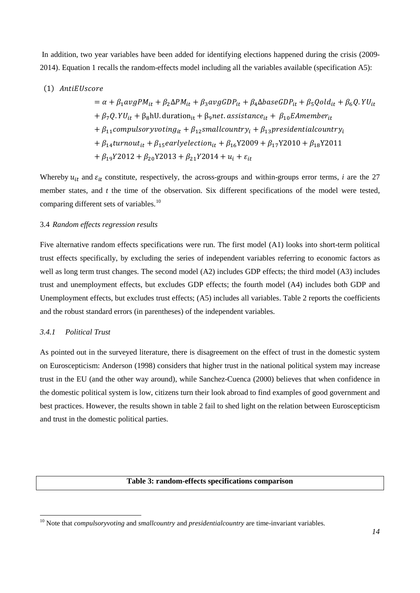In addition, two year variables have been added for identifying elections happened during the crisis (2009- 2014). Equation 1 recalls the random-effects model including all the variables available (specification A5):

## (1) AntiEUscore

$$
= \alpha + \beta_1 \alpha v g P M_{it} + \beta_2 \Delta P M_{it} + \beta_3 \alpha v g G D P_{it} + \beta_4 \Delta base G D P_{it} + \beta_5 Q o l d_{it} + \beta_6 Q . Y U_{it}
$$
  
+  $\beta_7 Q . Y U_{it} + \beta_8$ hU. duration<sub>it</sub> +  $\beta_9$ net. assistance<sub>it</sub> +  $\beta_{10}$  EAmember<sub>it</sub>  
+  $\beta_{11}$  computersovoting<sub>it</sub> +  $\beta_{12}$  small country<sub>i</sub> +  $\beta_{13}$  presidential country<sub>i</sub>  
+  $\beta_{14}$  turnout<sub>it</sub> +  $\beta_{15}$  early selection<sub>it</sub> +  $\beta_{16}$  Y2009 +  $\beta_{17}$  Y2010 +  $\beta_{18}$  Y2011  
+  $\beta_{19}$  Y2012 +  $\beta_{20}$  Y2013 +  $\beta_{21}$  Y2014 +  $u_i$  +  $\varepsilon_{it}$ 

Whereby  $u_{it}$  and  $\varepsilon_{it}$  constitute, respectively, the across-groups and within-groups error terms, *i* are the 27 member states, and *t* the time of the observation. Six different specifications of the model were tested, comparing different sets of variables.<sup>[10](#page-13-0)</sup>

#### 3.4 *Random effects regression results*

Five alternative random effects specifications were run. The first model (A1) looks into short-term political trust effects specifically, by excluding the series of independent variables referring to economic factors as well as long term trust changes. The second model (A2) includes GDP effects; the third model (A3) includes trust and unemployment effects, but excludes GDP effects; the fourth model (A4) includes both GDP and Unemployment effects, but excludes trust effects; (A5) includes all variables. Table 2 reports the coefficients and the robust standard errors (in parentheses) of the independent variables.

#### *3.4.1 Political Trust*

As pointed out in the surveyed literature, there is disagreement on the effect of trust in the domestic system on Euroscepticism: Anderson (1998) considers that higher trust in the national political system may increase trust in the EU (and the other way around), while Sanchez-Cuenca (2000) believes that when confidence in the domestic political system is low, citizens turn their look abroad to find examples of good government and best practices. However, the results shown in table 2 fail to shed light on the relation between Euroscepticism and trust in the domestic political parties.

## **Table 3: random-effects specifications comparison**

<span id="page-13-0"></span><sup>10</sup> Note that *compulsoryvoting* and *smallcountry* and *presidentialcountry* are time-invariant variables.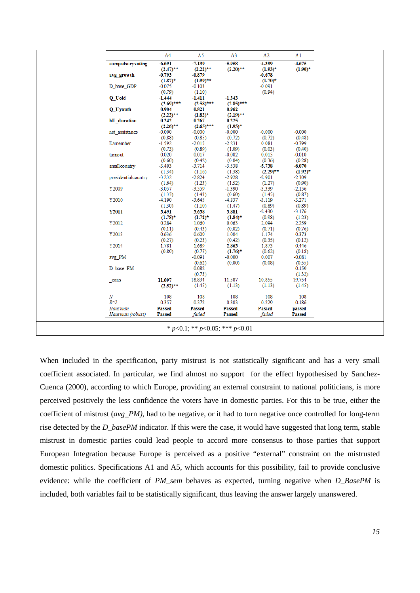|                     | A4                    | A5                    | A <sub>3</sub>        | A2              | A1              |
|---------------------|-----------------------|-----------------------|-----------------------|-----------------|-----------------|
| compulsoryvoting    | $-6.691$              | $-7.139$              | $-5.958$              | $-4.399$        | $-4.675$        |
|                     | $(2.47)$ **           | $(2.22)$ **           | $(2.20)$ **           | $(1.93)^*$      | $(1.90)$ *      |
| avg growth          | $-0.793$              | -0.879                |                       | $-0.678$        |                 |
|                     | $(1.87)$ *            | $(1.99)$ **           |                       | $(1.70)^*$      |                 |
| D base GDP          | -0.075                | $-0.103$              |                       | -0.091          |                 |
|                     | (0.79)                | (1.10)                |                       | (0.94)          |                 |
| Q Uold              | $-1.444$              | $-1.411$              | $-1.343$              |                 |                 |
| Q Uyouth            | $(2.69)$ ***<br>0.904 | $(2.58)$ ***<br>0.821 | $(2.85)$ ***<br>0.962 |                 |                 |
|                     | $(2.23)$ **           | $(1.82)^*$            | $(2.19)$ **           |                 |                 |
| hU duration         | 0.242                 | 0.267                 | 0.225                 |                 |                 |
|                     | $(2.26)$ **           | $(2.65)$ ***          | $(1.95)^*$            |                 |                 |
| net assistance      | $-0.000$              | $-0.000$              | $-0.000$              | $-0.000$        | $-0.000$        |
|                     | (0.88)                | (0.85)                | (0.72)                | (0.72)          | (0.48)          |
| Eamember            | $-1.592$              | $-2.015$              | $-2.231$              | 0.081           | $-0.799$        |
|                     | (0.73)                | (0.89)                | (1.09)                | (0.03)          | (0.40)          |
| turnout             | 0.020                 | 0.017                 | $-0.002$              | 0.015           | $-0.010$        |
|                     | (0.60)                | (0.42)                | (0.04)                | (0.36)          | (0.28)          |
| smallcountry        | $-3.493$              | $-3.714$              | $-3.538$              | $-5.738$        | $-6.070$        |
|                     | (1.34)                | (1.16)                | (1.38)                | $(2.29)$ **     | $(1.92)^*$      |
| presidentialcountry | $-3.232$              | $-2.824$              | $-2.928$              | $-2.901$        | $-2.309$        |
|                     | (1.64)                | (1.23)                | (1.52)                | (1.27)          | (0.90)          |
| Y2009               | $-3.057$              | $-3.559$              | $-1.390$              | $-3.339$        | $-2.156$        |
|                     | (1.33)                | (1.43)                | (0.60)                | (1.45)          | (0.87)          |
| Y2010               | $-4.190$              | $-3.645$              | $-4.837$              | $-3.119$        | $-3.271$        |
|                     | (1.30)                | (1.10)                | (1.47)                | (0.89)          | (0.89)          |
| <b>Y2011</b>        | $-3.491$              | $-3.638$              | $-3.881$              | $-2.430$        | $-3.176$        |
|                     | $(1.78)^*$            | $(1.72)^*$            | $(1.84)^*$            | (0.98)          | (1.23)          |
| Y2012               | 0.284                 | 1.060                 | 0.063                 | 2.094           | 2.259           |
| Y2013               | (0.11)<br>$-0.636$    | (0.43)                | (0.02)                | (0.71)          | (0.76)          |
|                     |                       | $-0.609$              | $-1.004$              | 1.174           | 0.373           |
| Y2014               | (0.27)<br>$-1.781$    | (0.23)<br>$-1.689$    | (0.42)<br>$-2.863$    | (0.35)<br>1.873 | (0.12)<br>0.446 |
|                     | (0.89)                | (0.77)                | $(1.76)^*$            | (0.62)          | (0.18)          |
| avg PM              |                       | -0.091                | $-0.000$              | 0.007           | $-0.081$        |
|                     |                       | (0.62)                | (0.00)                | (0.08)          | (0.55)          |
| D base PM           |                       | 0.082                 |                       |                 | 0.159           |
|                     |                       | (0.73)                |                       |                 | (1.32)          |
| $_{\rm cons}$       | 11.097                | 18.834                | 11.587                | 10.855          | 19.754          |
|                     | $(2.52)$ **           | (1.45)                | (1.13)                | (1.13)          | (1.45)          |
| $\boldsymbol{N}$    | 108                   | 108                   | 108                   | 108             | 108             |
| $R^{\wedge}2$       | 0.357                 | 0.372                 | 0.303                 | 0.229           | 0.186           |
| Haus man            | <b>Passed</b>         | <b>Passed</b>         | <b>Passed</b>         | <b>Passed</b>   | passed          |
| Hausman (robust)    | <b>Passed</b>         | failed                | <b>Passed</b>         | failed          | <b>Passed</b>   |
|                     |                       |                       |                       |                 |                 |

When included in the specification, party mistrust is not statistically significant and has a very small coefficient associated. In particular, we find almost no support for the effect hypothesised by Sanchez-Cuenca (2000), according to which Europe, providing an external constraint to national politicians, is more perceived positively the less confidence the voters have in domestic parties. For this to be true, either the coefficient of mistrust (*avg\_PM),* had to be negative, or it had to turn negative once controlled for long-term rise detected by the *D\_basePM* indicator. If this were the case, it would have suggested that long term, stable mistrust in domestic parties could lead people to accord more consensus to those parties that support European Integration because Europe is perceived as a positive "external" constraint on the mistrusted domestic politics. Specifications A1 and A5, which accounts for this possibility, fail to provide conclusive evidence: while the coefficient of *PM\_sem* behaves as expected, turning negative when *D\_BasePM* is included, both variables fail to be statistically significant, thus leaving the answer largely unanswered.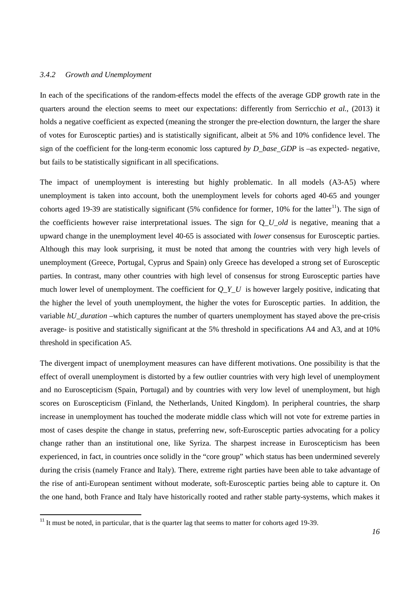## *3.4.2 Growth and Unemployment*

In each of the specifications of the random-effects model the effects of the average GDP growth rate in the quarters around the election seems to meet our expectations: differently from Serricchio *et al.,* (2013) it holds a negative coefficient as expected (meaning the stronger the pre-election downturn, the larger the share of votes for Eurosceptic parties) and is statistically significant, albeit at 5% and 10% confidence level. The sign of the coefficient for the long-term economic loss captured *by D\_base\_GDP* is –as expected- negative, but fails to be statistically significant in all specifications.

The impact of unemployment is interesting but highly problematic. In all models (A3-A5) where unemployment is taken into account, both the unemployment levels for cohorts aged 40-65 and younger cohorts aged 19-39 are statistically significant (5% confidence for former, 10% for the latter<sup>[11](#page-15-0)</sup>). The sign of the coefficients however raise interpretational issues. The sign for Q*\_U\_old* is negative, meaning that a upward change in the unemployment level 40-65 is associated with *lower* consensus for Eurosceptic parties. Although this may look surprising, it must be noted that among the countries with very high levels of unemployment (Greece, Portugal, Cyprus and Spain) only Greece has developed a strong set of Eurosceptic parties. In contrast, many other countries with high level of consensus for strong Eurosceptic parties have much lower level of unemployment. The coefficient for  $OYU$  is however largely positive, indicating that the higher the level of youth unemployment, the higher the votes for Eurosceptic parties. In addition, the variable *hU\_duration* –which captures the number of quarters unemployment has stayed above the pre-crisis average- is positive and statistically significant at the 5% threshold in specifications A4 and A3, and at 10% threshold in specification A5.

The divergent impact of unemployment measures can have different motivations. One possibility is that the effect of overall unemployment is distorted by a few outlier countries with very high level of unemployment and no Euroscepticism (Spain, Portugal) and by countries with very low level of unemployment, but high scores on Euroscepticism (Finland, the Netherlands, United Kingdom). In peripheral countries, the sharp increase in unemployment has touched the moderate middle class which will not vote for extreme parties in most of cases despite the change in status, preferring new, soft-Eurosceptic parties advocating for a policy change rather than an institutional one, like Syriza. The sharpest increase in Euroscepticism has been experienced, in fact, in countries once solidly in the "core group" which status has been undermined severely during the crisis (namely France and Italy). There, extreme right parties have been able to take advantage of the rise of anti-European sentiment without moderate, soft-Eurosceptic parties being able to capture it. On the one hand, both France and Italy have historically rooted and rather stable party-systems, which makes it

<span id="page-15-0"></span> $11$  It must be noted, in particular, that is the quarter lag that seems to matter for cohorts aged 19-39.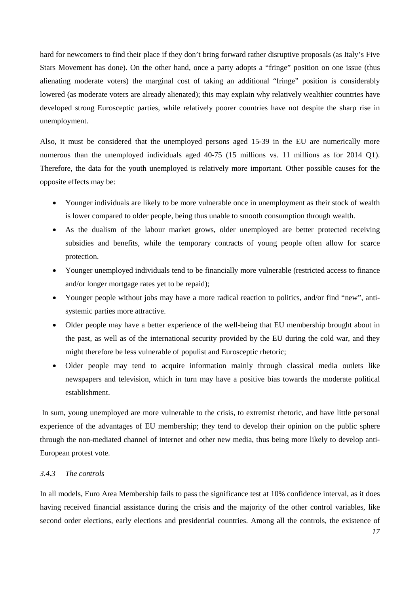hard for newcomers to find their place if they don't bring forward rather disruptive proposals (as Italy's Five Stars Movement has done). On the other hand, once a party adopts a "fringe" position on one issue (thus alienating moderate voters) the marginal cost of taking an additional "fringe" position is considerably lowered (as moderate voters are already alienated); this may explain why relatively wealthier countries have developed strong Eurosceptic parties, while relatively poorer countries have not despite the sharp rise in unemployment.

Also, it must be considered that the unemployed persons aged 15-39 in the EU are numerically more numerous than the unemployed individuals aged 40-75 (15 millions vs. 11 millions as for 2014 Q1). Therefore, the data for the youth unemployed is relatively more important. Other possible causes for the opposite effects may be:

- Younger individuals are likely to be more vulnerable once in unemployment as their stock of wealth is lower compared to older people, being thus unable to smooth consumption through wealth.
- As the dualism of the labour market grows, older unemployed are better protected receiving subsidies and benefits, while the temporary contracts of young people often allow for scarce protection.
- Younger unemployed individuals tend to be financially more vulnerable (restricted access to finance and/or longer mortgage rates yet to be repaid);
- Younger people without jobs may have a more radical reaction to politics, and/or find "new", antisystemic parties more attractive.
- Older people may have a better experience of the well-being that EU membership brought about in the past, as well as of the international security provided by the EU during the cold war, and they might therefore be less vulnerable of populist and Eurosceptic rhetoric;
- Older people may tend to acquire information mainly through classical media outlets like newspapers and television, which in turn may have a positive bias towards the moderate political establishment.

In sum, young unemployed are more vulnerable to the crisis, to extremist rhetoric, and have little personal experience of the advantages of EU membership; they tend to develop their opinion on the public sphere through the non-mediated channel of internet and other new media, thus being more likely to develop anti-European protest vote.

# *3.4.3 The controls*

In all models, Euro Area Membership fails to pass the significance test at 10% confidence interval, as it does having received financial assistance during the crisis and the majority of the other control variables, like second order elections, early elections and presidential countries. Among all the controls, the existence of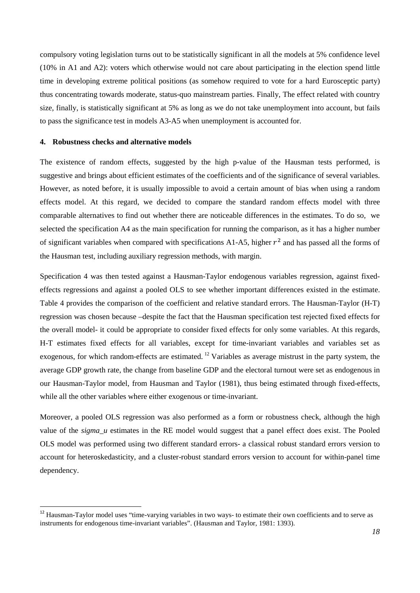compulsory voting legislation turns out to be statistically significant in all the models at 5% confidence level (10% in A1 and A2): voters which otherwise would not care about participating in the election spend little time in developing extreme political positions (as somehow required to vote for a hard Eurosceptic party) thus concentrating towards moderate, status-quo mainstream parties. Finally, The effect related with country size, finally, is statistically significant at 5% as long as we do not take unemployment into account, but fails to pass the significance test in models A3-A5 when unemployment is accounted for.

#### **4. Robustness checks and alternative models**

The existence of random effects, suggested by the high p-value of the Hausman tests performed, is suggestive and brings about efficient estimates of the coefficients and of the significance of several variables. However, as noted before, it is usually impossible to avoid a certain amount of bias when using a random effects model. At this regard, we decided to compare the standard random effects model with three comparable alternatives to find out whether there are noticeable differences in the estimates. To do so, we selected the specification A4 as the main specification for running the comparison, as it has a higher number of significant variables when compared with specifications A1-A5, higher  $r^2$  and has passed all the forms of the Hausman test, including auxiliary regression methods, with margin.

Specification 4 was then tested against a Hausman-Taylor endogenous variables regression, against fixedeffects regressions and against a pooled OLS to see whether important differences existed in the estimate. Table 4 provides the comparison of the coefficient and relative standard errors. The Hausman-Taylor (H-T) regression was chosen because –despite the fact that the Hausman specification test rejected fixed effects for the overall model- it could be appropriate to consider fixed effects for only some variables. At this regards, H-T estimates fixed effects for all variables, except for time-invariant variables and variables set as exogenous, for which random-effects are estimated. [12](#page-17-0) Variables as average mistrust in the party system, the average GDP growth rate, the change from baseline GDP and the electoral turnout were set as endogenous in our Hausman-Taylor model, from Hausman and Taylor (1981), thus being estimated through fixed-effects, while all the other variables where either exogenous or time-invariant.

Moreover, a pooled OLS regression was also performed as a form or robustness check, although the high value of the *sigma\_u* estimates in the RE model would suggest that a panel effect does exist. The Pooled OLS model was performed using two different standard errors- a classical robust standard errors version to account for heteroskedasticity, and a cluster-robust standard errors version to account for within-panel time dependency.

<span id="page-17-0"></span><sup>&</sup>lt;sup>12</sup> Hausman-Taylor model uses "time-varying variables in two ways- to estimate their own coefficients and to serve as instruments for endogenous time-invariant variables". (Hausman and Taylor, 1981: 1393).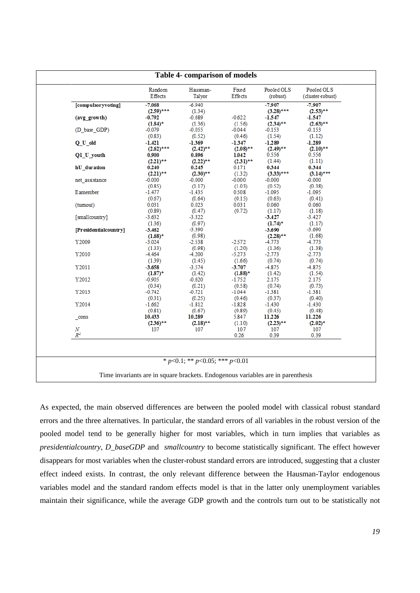|                       | Random<br><b>E</b> ffects | Hausman-<br>Talyor                     | Fixed<br>Effects | Pooled OLS<br>(robust) | Pooled OLS<br>(cluster-robust) |
|-----------------------|---------------------------|----------------------------------------|------------------|------------------------|--------------------------------|
| [compulsoryvoting]    | $-7.068$                  | $-6.940$                               |                  | -7.907                 | $-7.907$                       |
|                       | $(2.59)$ ***              | (1.34)                                 |                  | $(3.28)$ ***           | $(2.53)$ **                    |
| (avg growth)          | -0.792                    | $-0.689$                               | $-0.622$         | -1.547                 | -1.547                         |
|                       | $(1.84)^*$                | (1.36)                                 | (1.56)           | $(2.34)$ **            | $(2.63)$ **                    |
| (D_base_GDP)          | -0.079                    | -0.055                                 | -0.044           | -0.153                 | -0.153                         |
|                       | (0.83)                    | (0.52)                                 | (0.46)           | (1.54)                 | (1.12)                         |
| Q U old               | -1.421                    | $-1.369$                               | -1.347           | -1.289                 | -1.289                         |
|                       | $(2.62)$ ***              | $(2.42)$ **                            | $(2.08)$ **      | $(2.49)$ **            | $(2.10)$ **                    |
| Q1_U_youth            | 0.900                     | 0.896                                  | 1.042            | 0.556                  | 0.556                          |
|                       | $(2.21)$ **               | $(2.22)$ **                            | $(2.31)$ **      | (1.44)                 | (1.11)                         |
| hU duration           | 0.240                     | 0.245                                  | 0.171            | 0.344                  | 0.344                          |
|                       | $(2.21)$ **               | $(2.30)$ **                            | (1.32)           | $(3.33)$ ***           | $(3.14)$ ***                   |
| net assistance        | $-0.000$                  | $-0.000$                               | $-0.000$         | $-0.000$               | $-0.000$                       |
|                       | (0.85)                    | (1.17)                                 | (1.03)           | (0.52)                 | (0.38)                         |
| Eamember              | $-1.477$                  | -1.435                                 | 0.508            | $-1.095$               | $-1.095$                       |
|                       | (0.67)                    | (0.64)                                 | (0.15)           | (0.63)                 | (0.41)                         |
| (tumout)              | 0.031                     | 0.023                                  | 0.031            | 0.060                  | 0.060                          |
|                       | (0.89)                    | (0.47)                                 | (0.72)           | (1.17)                 | (1.18)                         |
| [smallcountry]        | $-3.632$                  | $-3.322$                               |                  | $-3.427$               | $-3.427$                       |
|                       | (1.36)                    | (0.97)                                 |                  | $(1.74)^{*}$           | (1.17)                         |
| [Presidentialcountry] | $-3.462$                  | $-3.390$                               |                  | $-3.690$               | $-3.690$                       |
|                       | $(1.68)^*$                | (0.98)                                 |                  | $(2.28)$ **            | (1.68)                         |
| Y2009                 | $-3.024$                  | $-2.538$                               | $-2.572$         | -4.773                 | 4.773                          |
|                       | (1.33)                    | (0.98)                                 | (1.20)           | (1.36)                 | (1.38)                         |
| Y2010                 | $-4.464$                  | -4.200                                 | $-5.273$         | $-2.773$               | -2.773                         |
|                       | (1.39)                    | (1.45)                                 | (1.66)           | (0.74)                 | (0.74)                         |
| Y2011                 | $-3.658$                  | $-3.574$                               | $-3.707$         | $-4.875$               | 4.875                          |
|                       | $(1.87)$ *                | (1.42)                                 | $(1.88)$ *       | (1.42)                 | (1.54)                         |
| Y2012                 | $-0.905$                  | $-0.620$                               | $-1.752$         | 2.175                  | 2.175                          |
|                       | (0.34)                    | (0.21)                                 | (0.58)           | (0.74)                 | (0.73)                         |
| Y2013                 | $-0.742$                  | $-0.721$                               | $-1.044$         | $-1.381$               | $-1.381$                       |
|                       | (0.31)                    | (0.25)                                 | (0.46)           | (0.37)                 | (0.40)                         |
| Y2014                 | $-1.662$                  | $-1.812$                               | $-1.828$         | $-1.430$               | -1.430                         |
|                       | (0.81)                    | (0.67)                                 | (0.89)           | (0.45)                 | (0.48)                         |
| cons                  | 10.433                    | 10.289                                 | 5.847            | 11.226                 | 11.226                         |
|                       | $(2.36)$ **               | $(2.18)$ **                            | (1.10)           | $(2.23)$ **            | $(2.02)^*$                     |
| $\cal N$              | 107                       | 107                                    | 107              | 107                    | 107                            |
| $R^2$                 |                           |                                        | 0.26             | 0.39                   | 0.39                           |
|                       |                           |                                        |                  |                        |                                |
|                       |                           | * $p<0.1$ ; ** $p<0.05$ ; *** $p<0.01$ |                  |                        |                                |

As expected, the main observed differences are between the pooled model with classical robust standard errors and the three alternatives. In particular, the standard errors of all variables in the robust version of the pooled model tend to be generally higher for most variables, which in turn implies that variables as *presidentialcountry, D\_baseGDP* and *smallcountry* to become statistically significant. The effect however disappears for most variables when the cluster-robust standard errors are introduced, suggesting that a cluster effect indeed exists. In contrast, the only relevant difference between the Hausman-Taylor endogenous variables model and the standard random effects model is that in the latter only unemployment variables maintain their significance, while the average GDP growth and the controls turn out to be statistically not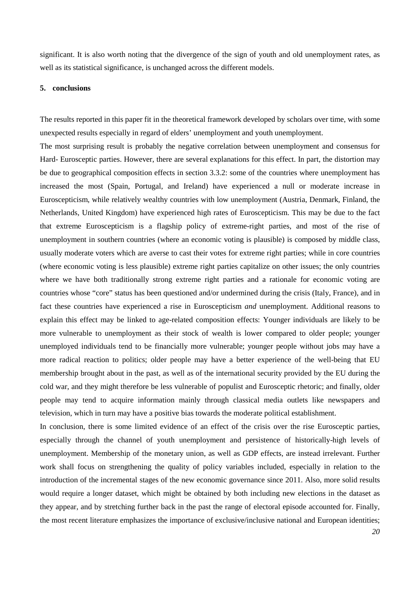significant. It is also worth noting that the divergence of the sign of youth and old unemployment rates, as well as its statistical significance, is unchanged across the different models.

#### **5. conclusions**

The results reported in this paper fit in the theoretical framework developed by scholars over time, with some unexpected results especially in regard of elders' unemployment and youth unemployment.

The most surprising result is probably the negative correlation between unemployment and consensus for Hard- Eurosceptic parties. However, there are several explanations for this effect. In part, the distortion may be due to geographical composition effects in section 3.3.2: some of the countries where unemployment has increased the most (Spain, Portugal, and Ireland) have experienced a null or moderate increase in Euroscepticism, while relatively wealthy countries with low unemployment (Austria, Denmark, Finland, the Netherlands, United Kingdom) have experienced high rates of Euroscepticism. This may be due to the fact that extreme Euroscepticism is a flagship policy of extreme-right parties, and most of the rise of unemployment in southern countries (where an economic voting is plausible) is composed by middle class, usually moderate voters which are averse to cast their votes for extreme right parties; while in core countries (where economic voting is less plausible) extreme right parties capitalize on other issues; the only countries where we have both traditionally strong extreme right parties and a rationale for economic voting are countries whose "core" status has been questioned and/or undermined during the crisis (Italy, France), and in fact these countries have experienced a rise in Euroscepticism *and* unemployment. Additional reasons to explain this effect may be linked to age-related composition effects: Younger individuals are likely to be more vulnerable to unemployment as their stock of wealth is lower compared to older people; younger unemployed individuals tend to be financially more vulnerable; younger people without jobs may have a more radical reaction to politics; older people may have a better experience of the well-being that EU membership brought about in the past, as well as of the international security provided by the EU during the cold war, and they might therefore be less vulnerable of populist and Eurosceptic rhetoric; and finally, older people may tend to acquire information mainly through classical media outlets like newspapers and television, which in turn may have a positive bias towards the moderate political establishment.

In conclusion, there is some limited evidence of an effect of the crisis over the rise Eurosceptic parties, especially through the channel of youth unemployment and persistence of historically-high levels of unemployment. Membership of the monetary union, as well as GDP effects, are instead irrelevant. Further work shall focus on strengthening the quality of policy variables included, especially in relation to the introduction of the incremental stages of the new economic governance since 2011. Also, more solid results would require a longer dataset, which might be obtained by both including new elections in the dataset as they appear, and by stretching further back in the past the range of electoral episode accounted for. Finally, the most recent literature emphasizes the importance of exclusive/inclusive national and European identities;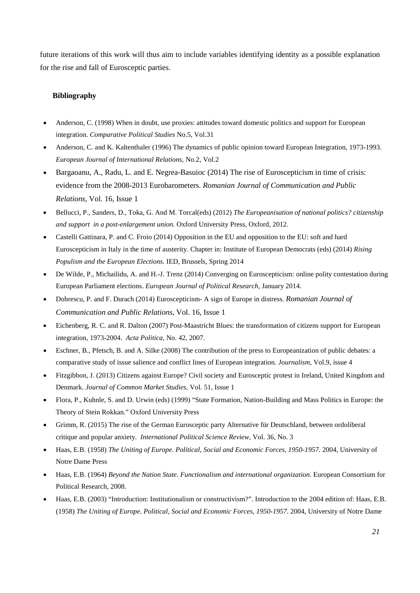future iterations of this work will thus aim to include variables identifying identity as a possible explanation for the rise and fall of Eurosceptic parties.

### **Bibliography**

- Anderson, C. (1998) When in doubt, use proxies: attitudes toward domestic politics and support for European integration. *Comparative Political Studies* No.5, Vol.31
- Anderson, C. and K. Kaltenthaler (1996) The dynamics of public opinion toward European Integration, 1973-1993. *European Journal of International Relations,* No.2, Vol.2
- Bargaoanu, A., Radu, L. and E. Negrea-Basuioc (2014) The rise of Euroscepticism in time of crisis: evidence from the 2008-2013 Eurobarometers. *Romanian Journal of Communication and Public Relations*, Vol. 16, Issue 1
- Bellucci, P., Sanders, D., Toka, G. And M. Torcal(eds) (2012) *The Europeanisation of national politics? citizenship and support in a post-enlargement union.* Oxford University Press, Oxford, 2012.
- Castelli Gattinara, P. and C. Froio (2014) Opposition in the EU and opposition to the EU: soft and hard Euroscepticism in Italy in the time of austerity. Chapter in: Institute of European Democrats (eds) (2014) *Rising Populism and the European Elections.* IED, Brussels, Spring 2014
- De Wilde, P., Michailidu, A. and H.-J. Trenz (2014) Converging on Euroscepticism: online polity contestation during European Parliament elections. *European Journal of Political Research*, January 2014.
- Dobrescu, P. and F. Durach (2014) Euroscepticism- A sign of Europe in distress. *Romanian Journal of Communication and Public Relations*, Vol. 16, Issue 1
- Eichenberg, R. C. and R. Dalton (2007) Post-Maastricht Blues: the transformation of citizens support for European integration, 1973-2004. *Acta Politica,* No. 42, 2007.
- Eschner, B., Pfetsch, B. and A. Silke (2008) The contribution of the press to Europeanization of public debates: a comparative study of issue salience and conflict lines of European integration. *Journalism,* Vol.9, issue 4
- Fitzgibbon, J. (2013) Citizens against Europe? Civil society and Eurosceptic protest in Ireland, United Kingdom and Denmark. *Journal of Common Market Studies,* Vol. 51, Issue 1
- Flora, P., Kuhnle, S. and D. Urwin (eds) (1999) "State Formation, Nation-Building and Mass Politics in Europe: the Theory of Stein Rokkan." Oxford University Press
- Grimm, R. (2015) The rise of the German Eurosceptic party Alternative für Deutschland, between ordoliberal critique and popular anxiety. *International Political Science Review,* Vol. 36, No. 3
- Haas, E.B. (1958) *The Uniting of Europe. Political, Social and Economic Forces, 1950-1957.* 2004, University of Notre Dame Press
- Haas, E.B. (1964) *Beyond the Nation State. Functionalism and international organization.* European Consortium for Political Research, 2008.
- Haas, E.B. (2003) "Introduction: Institutionalism or constructivism?". Introduction to the 2004 edition of: Haas, E.B. (1958) *The Uniting of Europe. Political, Social and Economic Forces, 1950-1957.* 2004, University of Notre Dame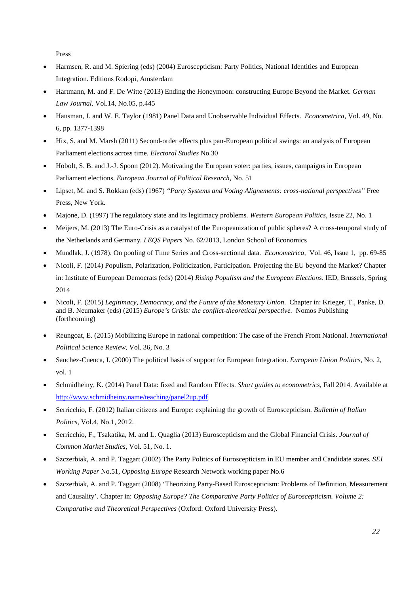Press

- Harmsen, R. and M. Spiering (eds) (2004) Euroscepticism: Party Politics, National Identities and European Integration. Editions Rodopi, Amsterdam
- Hartmann, M. and F. De Witte (2013) Ending the Honeymoon: constructing Europe Beyond the Market. *German Law Journal,* Vol.14, No.05, p.445
- Hausman, J. and W. E. Taylor (1981) Panel Data and Unobservable Individual Effects. *Econometrica,* Vol. 49, No. 6, pp. 1377-1398
- Hix, S. and M. Marsh (2011) Second-order effects plus pan-European political swings: an analysis of European Parliament elections across time. *Electoral Studies* No.30
- Hobolt, S. B. and J.-J. Spoon (2012). Motivating the European voter: parties, issues, campaigns in European Parliament elections. *European Journal of Political Research,* No. 51
- Lipset, M. and S. Rokkan (eds) (1967) *"Party Systems and Voting Alignements: cross-national perspectives"* Free Press, New York.
- Majone, D. (1997) The regulatory state and its legitimacy problems. *Western European Politics,* Issue 22, No. 1
- Meijers, M. (2013) The Euro-Crisis as a catalyst of the Europeanization of public spheres? A cross-temporal study of the Netherlands and Germany*. LEQS Papers* No. 62/2013, London School of Economics
- Mundlak, J. (1978). On pooling of Time Series and Cross-sectional data. *Econometrica,* Vol. 46, Issue 1, pp. 69-85
- Nicoli, F. (2014) Populism, Polarization, Politicization, Participation. Projecting the EU beyond the Market? Chapter in: Institute of European Democrats (eds) (2014) *Rising Populism and the European Elections*. IED, Brussels, Spring 2014
- Nicoli, F. (2015) *Legitimacy, Democracy, and the Future of the Monetary Union*. Chapter in: Krieger, T., Panke, D. and B. Neumaker (eds) (2015) *Europe's Crisis: the conflict-theoretical perspective.* Nomos Publishing (forthcoming)
- Reungoat, E. (2015) Mobilizing Europe in national competition: The case of the French Front National. *International Political Science Review,* Vol. 36, No. 3
- Sanchez-Cuenca, I. (2000) The political basis of support for European Integration. *European Union Politics,* No. 2, vol. 1
- Schmidheiny, K. (2014) Panel Data: fixed and Random Effects. *Short guides to econometrics,* Fall 2014. Available at <http://www.schmidheiny.name/teaching/panel2up.pdf>
- Serricchio, F. (2012) Italian citizens and Europe: explaining the growth of Euroscepticism. *Bullettin of Italian Politics,* Vol.4, No.1, 2012.
- Serricchio, F., Tsakatika, M. and L. Quaglia (2013) Euroscepticism and the Global Financial Crisis. *Journal of Common Market Studies,* Vol. 51, No. 1.
- Szczerbiak, A. and P. Taggart (2002) The Party Politics of Euroscepticism in EU member and Candidate states. *SEI Working Paper* No.51, *Opposing Europe* Research Network working paper No.6
- Szczerbiak, A. and P. Taggart (2008) 'Theorizing Party-Based Euroscepticism: Problems of Definition, Measurement and Causality'. Chapter in: *Opposing Europe? The Comparative Party Politics of Euroscepticism. Volume 2: Comparative and Theoretical Perspectives* (Oxford: Oxford University Press).